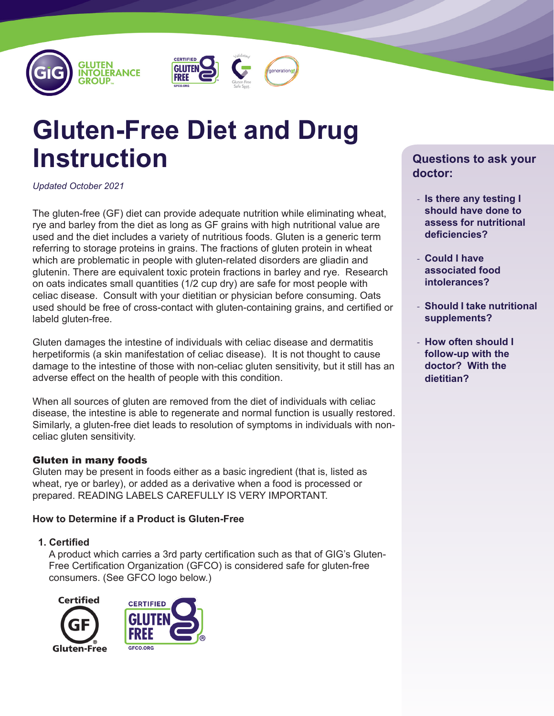





# **Gluten-Free Diet and Drug Instruction**

*Updated October 2021*

The gluten-free (GF) diet can provide adequate nutrition while eliminating wheat, rye and barley from the diet as long as GF grains with high nutritional value are used and the diet includes a variety of nutritious foods. Gluten is a generic term referring to storage proteins in grains. The fractions of gluten protein in wheat which are problematic in people with gluten-related disorders are gliadin and glutenin. There are equivalent toxic protein fractions in barley and rye. Research on oats indicates small quantities (1/2 cup dry) are safe for most people with celiac disease. Consult with your dietitian or physician before consuming. Oats used should be free of cross-contact with gluten-containing grains, and certified or labeld gluten-free.

Gluten damages the intestine of individuals with celiac disease and dermatitis herpetiformis (a skin manifestation of celiac disease). It is not thought to cause damage to the intestine of those with non-celiac gluten sensitivity, but it still has an adverse effect on the health of people with this condition.

When all sources of gluten are removed from the diet of individuals with celiac disease, the intestine is able to regenerate and normal function is usually restored. Similarly, a gluten-free diet leads to resolution of symptoms in individuals with nonceliac gluten sensitivity.

# Gluten in many foods

Gluten may be present in foods either as a basic ingredient (that is, listed as wheat, rye or barley), or added as a derivative when a food is processed or prepared. READING LABELS CAREFULLY IS VERY IMPORTANT.

# **How to Determine if a Product is Gluten-Free**

# **1. Certified**

A product which carries a 3rd party certification such as that of GIG's Gluten-Free Certification Organization (GFCO) is considered safe for gluten-free consumers. (See GFCO logo below.)





# **Questions to ask your doctor:**

- **Is there any testing I should have done to assess for nutritional deficiencies?**
- **Could I have associated food intolerances?**
- **Should I take nutritional supplements?**
- **How often should I follow-up with the doctor? With the dietitian?**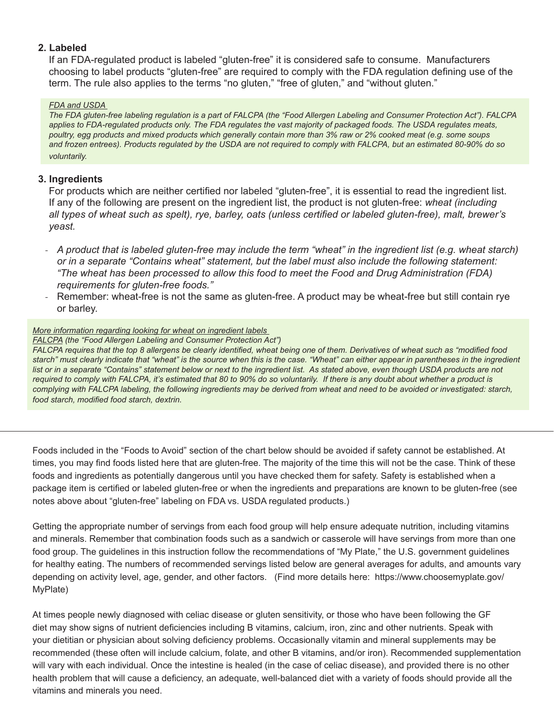# **2. Labeled**

If an FDA-regulated product is labeled "gluten-free" it is considered safe to consume. Manufacturers choosing to label products "gluten-free" are required to comply with the FDA regulation defining use of the term. The rule also applies to the terms "no gluten," "free of gluten," and "without gluten."

#### *FDA and USDA*

*The FDA gluten-free labeling regulation is a part of FALCPA (the "Food Allergen Labeling and Consumer Protection Act"). FALCPA*  applies to FDA-regulated products only. The FDA regulates the vast majority of packaged foods. The USDA regulates meats, *poultry, egg products and mixed products which generally contain more than 3% raw or 2% cooked meat (e.g. some soups and frozen entrees). Products regulated by the USDA are not required to comply with FALCPA, but an estimated 80-90% do so voluntarily.* 

# **3. Ingredients**

For products which are neither certified nor labeled "gluten-free", it is essential to read the ingredient list. If any of the following are present on the ingredient list, the product is not gluten-free: *wheat (including all types of wheat such as spelt), rye, barley, oats (unless certified or labeled gluten-free), malt, brewer's yeast.* 

- *A product that is labeled gluten-free may include the term "wheat" in the ingredient list (e.g. wheat starch) or in a separate "Contains wheat" statement, but the label must also include the following statement: "The wheat has been processed to allow this food to meet the Food and Drug Administration (FDA) requirements for gluten-free foods."*
- Remember: wheat-free is not the same as gluten-free. A product may be wheat-free but still contain rye or barley.

### *More information regarding looking for wheat on ingredient labels*

#### *FALCPA (the "Food Allergen Labeling and Consumer Protection Act")*

*FALCPA requires that the top 8 allergens be clearly identified, wheat being one of them. Derivatives of wheat such as "modified food starch" must clearly indicate that "wheat" is the source when this is the case. "Wheat" can either appear in parentheses in the ingredient*  list or in a separate "Contains" statement below or next to the ingredient list. As stated above, even though USDA products are not *required to comply with FALCPA, it's estimated that 80 to 90% do so voluntarily. If there is any doubt about whether a product is complying with FALCPA labeling, the following ingredients may be derived from wheat and need to be avoided or investigated: starch, food starch, modified food starch, dextrin.*

Foods included in the "Foods to Avoid" section of the chart below should be avoided if safety cannot be established. At times, you may find foods listed here that are gluten-free. The majority of the time this will not be the case. Think of these foods and ingredients as potentially dangerous until you have checked them for safety. Safety is established when a package item is certified or labeled gluten-free or when the ingredients and preparations are known to be gluten-free (see notes above about "gluten-free" labeling on FDA vs. USDA regulated products.)

Getting the appropriate number of servings from each food group will help ensure adequate nutrition, including vitamins and minerals. Remember that combination foods such as a sandwich or casserole will have servings from more than one food group. The guidelines in this instruction follow the recommendations of "My Plate," the U.S. government guidelines for healthy eating. The numbers of recommended servings listed below are general averages for adults, and amounts vary depending on activity level, age, gender, and other factors. (Find more details here: https://www.choosemyplate.gov/ MyPlate)

At times people newly diagnosed with celiac disease or gluten sensitivity, or those who have been following the GF diet may show signs of nutrient deficiencies including B vitamins, calcium, iron, zinc and other nutrients. Speak with your dietitian or physician about solving deficiency problems. Occasionally vitamin and mineral supplements may be recommended (these often will include calcium, folate, and other B vitamins, and/or iron). Recommended supplementation will vary with each individual. Once the intestine is healed (in the case of celiac disease), and provided there is no other health problem that will cause a deficiency, an adequate, well-balanced diet with a variety of foods should provide all the vitamins and minerals you need.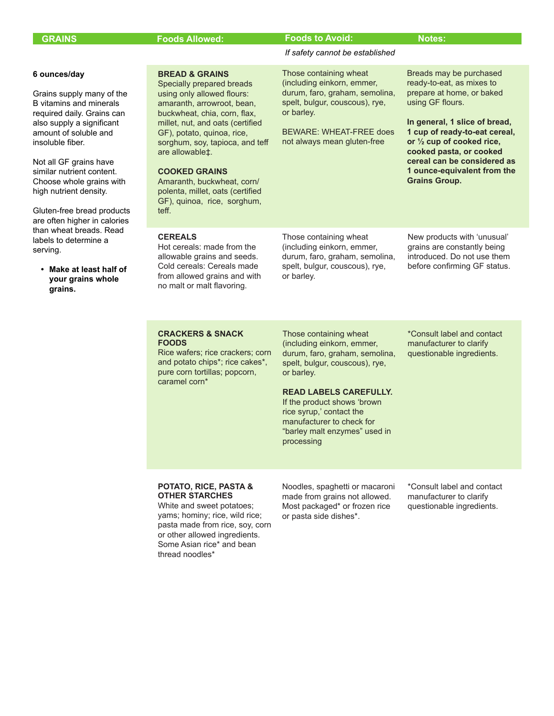| <b>GRAINS</b> |
|---------------|
|---------------|

#### **GRAINS Foods to Avoid: Foods Allowed: Notes:**

or barley.

*If safety cannot be established*

BEWARE: WHEAT-FREE does not always mean gluten-free

Those containing wheat (including einkorn, emmer, durum, faro, graham, semolina, spelt, bulgur, couscous), rye,

using GF flours.

**Grains Group.** 

Breads may be purchased ready-to-eat, as mixes to prepare at home, or baked

**In general, 1 slice of bread, 1 cup of ready-to-eat cereal, or ½ cup of cooked rice, cooked pasta, or cooked cereal can be considered as 1 ounce-equivalent from the** 

#### **6 ounces/day**

Grains supply many of the B vitamins and minerals required daily. Grains can also supply a significant amount of soluble and insoluble fiber.

Not all GF grains have similar nutrient content. Choose whole grains with high nutrient density.

Gluten-free bread products are often higher in calories than wheat breads. Read labels to determine a serving.

**• Make at least half of your grains whole grains.**

**BREAD & GRAINS** Specially prepared breads using only allowed flours: amaranth, arrowroot, bean, buckwheat, chia, corn, flax, millet, nut, and oats (certified GF), potato, quinoa, rice, sorghum, soy, tapioca, and teff are allowable‡.

#### **COOKED GRAINS**

Amaranth, buckwheat, corn/ polenta, millet, oats (certified GF), quinoa, rice, sorghum, teff.

#### **CEREALS**

Hot cereals: made from the allowable grains and seeds. Cold cereals: Cereals made from allowed grains and with no malt or malt flavoring.

Those containing wheat (including einkorn, emmer, durum, faro, graham, semolina, spelt, bulgur, couscous), rye, or barley.

New products with 'unusual' grains are constantly being introduced. Do not use them before confirming GF status.

#### **CRACKERS & SNACK FOODS**

Rice wafers; rice crackers; corn and potato chips\*; rice cakes\*, pure corn tortillas; popcorn, caramel corn\*

Those containing wheat (including einkorn, emmer, durum, faro, graham, semolina, spelt, bulgur, couscous), rye, or barley.

\*Consult label and contact manufacturer to clarify questionable ingredients.

#### **READ LABELS CAREFULLY.**

If the product shows 'brown rice syrup,' contact the manufacturer to check for "barley malt enzymes" used in processing

#### **POTATO, RICE, PASTA & OTHER STARCHES**

White and sweet potatoes; yams; hominy; rice, wild rice; pasta made from rice, soy, corn or other allowed ingredients. Some Asian rice\* and bean thread noodles\*

Noodles, spaghetti or macaroni made from grains not allowed. Most packaged\* or frozen rice or pasta side dishes\*.

\*Consult label and contact manufacturer to clarify questionable ingredients.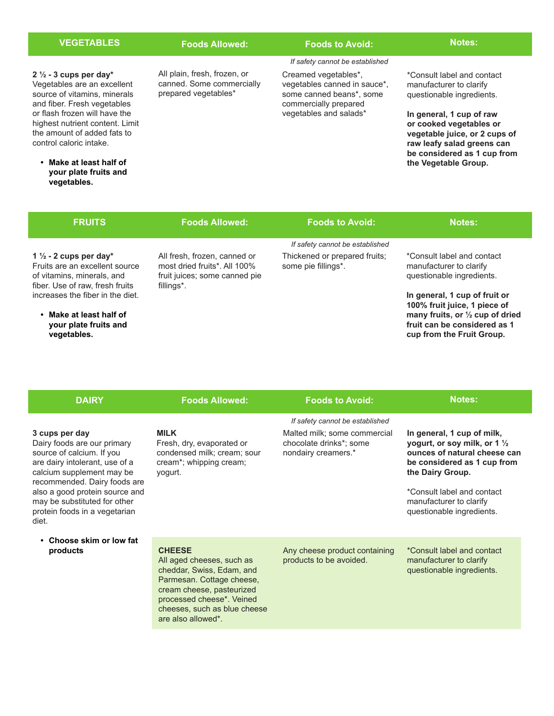| <b>VEGETABLES</b>                                                                                                                                                                                                                                                                                                                          | <b>Foods Allowed:</b>                                                                                       | <b>Foods to Avoid:</b>                                                                                                                                                 | <b>Notes:</b>                                                                                                                                                                                                                                                   |
|--------------------------------------------------------------------------------------------------------------------------------------------------------------------------------------------------------------------------------------------------------------------------------------------------------------------------------------------|-------------------------------------------------------------------------------------------------------------|------------------------------------------------------------------------------------------------------------------------------------------------------------------------|-----------------------------------------------------------------------------------------------------------------------------------------------------------------------------------------------------------------------------------------------------------------|
| $2\frac{1}{2}$ - 3 cups per day*<br>Vegetables are an excellent<br>source of vitamins, minerals<br>and fiber. Fresh vegetables<br>or flash frozen will have the<br>highest nutrient content. Limit<br>the amount of added fats to<br>control caloric intake.<br>Make at least half of<br>$\bullet$<br>your plate fruits and<br>vegetables. | All plain, fresh, frozen, or<br>canned. Some commercially<br>prepared vegetables*                           | If safety cannot be established<br>Creamed vegetables*,<br>vegetables canned in sauce*,<br>some canned beans*, some<br>commercially prepared<br>vegetables and salads* | *Consult label and contact<br>manufacturer to clarify<br>questionable ingredients.<br>In general, 1 cup of raw<br>or cooked vegetables or<br>vegetable juice, or 2 cups of<br>raw leafy salad greens can<br>be considered as 1 cup from<br>the Vegetable Group. |
| <b>FRUITS</b>                                                                                                                                                                                                                                                                                                                              | <b>Foods Allowed:</b>                                                                                       | <b>Foods to Avoid:</b>                                                                                                                                                 | <b>Notes:</b>                                                                                                                                                                                                                                                   |
|                                                                                                                                                                                                                                                                                                                                            |                                                                                                             | If safety cannot be established                                                                                                                                        |                                                                                                                                                                                                                                                                 |
| 1 $\frac{1}{2}$ - 2 cups per day*<br>Fruits are an excellent source<br>of vitamins, minerals, and<br>fiber. Use of raw, fresh fruits                                                                                                                                                                                                       | All fresh, frozen, canned or<br>most dried fruits*, All 100%<br>fruit juices; some canned pie<br>fillings*. | Thickened or prepared fruits;<br>some pie fillings*.                                                                                                                   | *Consult label and contact<br>manufacturer to clarify<br>questionable ingredients.                                                                                                                                                                              |
| increases the fiber in the diet.<br>• Make at least half of                                                                                                                                                                                                                                                                                |                                                                                                             |                                                                                                                                                                        | In general, 1 cup of fruit or<br>100% fruit juice, 1 piece of<br>many fruits, or 1/2 cup of dried                                                                                                                                                               |

**fruit can be considered as 1 cup from the Fruit Group.**

**your plate fruits and** 

**vegetables.**

| <b>DAIRY</b>                                                                                                                                                                                                                                                                          | <b>Foods Allowed:</b>                                                                                                                                                                                               | <b>Foods to Avoid:</b>                                                         | <b>Notes:</b>                                                                                                                                                                                                                                  |
|---------------------------------------------------------------------------------------------------------------------------------------------------------------------------------------------------------------------------------------------------------------------------------------|---------------------------------------------------------------------------------------------------------------------------------------------------------------------------------------------------------------------|--------------------------------------------------------------------------------|------------------------------------------------------------------------------------------------------------------------------------------------------------------------------------------------------------------------------------------------|
|                                                                                                                                                                                                                                                                                       |                                                                                                                                                                                                                     | If safety cannot be established                                                |                                                                                                                                                                                                                                                |
| 3 cups per day<br>Dairy foods are our primary<br>source of calcium. If you<br>are dairy intolerant, use of a<br>calcium supplement may be<br>recommended. Dairy foods are<br>also a good protein source and<br>may be substituted for other<br>protein foods in a vegetarian<br>diet. | <b>MILK</b><br>Fresh, dry, evaporated or<br>condensed milk; cream; sour<br>cream*; whipping cream;<br>yogurt.                                                                                                       | Malted milk; some commercial<br>chocolate drinks*; some<br>nondairy creamers.* | In general, 1 cup of milk,<br>yogurt, or soy milk, or 1 $\frac{1}{2}$<br>ounces of natural cheese can<br>be considered as 1 cup from<br>the Dairy Group.<br>*Consult label and contact<br>manufacturer to clarify<br>questionable ingredients. |
| • Choose skim or low fat<br>products                                                                                                                                                                                                                                                  | <b>CHEESE</b><br>All aged cheeses, such as<br>cheddar, Swiss, Edam, and<br>Parmesan. Cottage cheese,<br>cream cheese, pasteurized<br>processed cheese*. Veined<br>cheeses, such as blue cheese<br>are also allowed* | Any cheese product containing<br>products to be avoided.                       | *Consult label and contact<br>manufacturer to clarify<br>questionable ingredients.                                                                                                                                                             |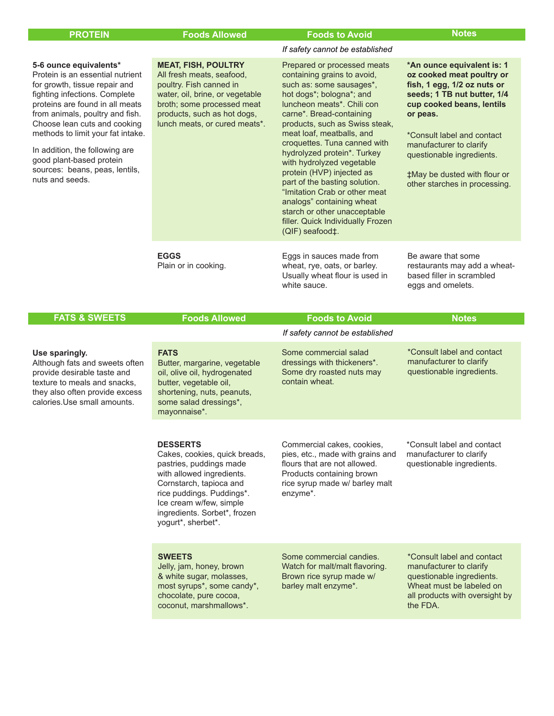| If safety cannot be established<br><b>MEAT, FISH, POULTRY</b><br>Prepared or processed meats<br>5-6 ounce equivalents*<br>Protein is an essential nutrient<br>All fresh meats, seafood,<br>containing grains to avoid,<br>poultry. Fish canned in<br>such as: some sausages*,<br>fish, 1 egg, 1/2 oz nuts or<br>for growth, tissue repair and<br>hot dogs*; bologna*; and<br>fighting infections. Complete<br>water, oil, brine, or vegetable<br>proteins are found in all meats<br>broth; some processed meat<br>luncheon meats*. Chili con<br>cup cooked beans, lentils<br>from animals, poultry and fish.<br>products, such as hot dogs,<br>carne*. Bread-containing<br>or peas.<br>Choose lean cuts and cooking<br>lunch meats, or cured meats*.<br>products, such as Swiss steak,<br>methods to limit your fat intake.<br>meat loaf, meatballs, and<br>*Consult label and contact<br>croquettes. Tuna canned with<br>manufacturer to clarify<br>In addition, the following are<br>hydrolyzed protein*. Turkey<br>questionable ingredients.<br>good plant-based protein<br>with hydrolyzed vegetable<br>sources: beans, peas, lentils,<br>protein (HVP) injected as<br>nuts and seeds.<br>part of the basting solution.<br>"Imitation Crab or other meat<br>analogs" containing wheat<br>starch or other unacceptable<br>filler. Quick Individually Frozen<br>(QIF) seafood‡.<br><b>EGGS</b><br>Be aware that some<br>Eggs in sauces made from<br>Plain or in cooking.<br>wheat, rye, oats, or barley.<br>Usually wheat flour is used in<br>based filler in scrambled<br>white sauce.<br>eggs and omelets.<br><b>FATS &amp; SWEETS</b><br><b>Foods Allowed</b><br><b>Foods to Avoid</b><br><b>Notes</b><br>If safety cannot be established<br>*Consult label and contact<br>Some commercial salad<br><b>FATS</b><br>Use sparingly.<br>manufacturer to clarify<br>dressings with thickeners*.<br>Although fats and sweets often<br>Butter, margarine, vegetable<br>questionable ingredients.<br>Some dry roasted nuts may<br>provide desirable taste and<br>oil, olive oil, hydrogenated<br>contain wheat.<br>texture to meals and snacks,<br>butter, vegetable oil,<br>they also often provide excess<br>shortening, nuts, peanuts,<br>calories. Use small amounts.<br>some salad dressings*,<br>mayonnaise*.<br><b>DESSERTS</b><br>Commercial cakes, cookies,<br>*Consult label and contact<br>manufacturer to clarify<br>Cakes, cookies, quick breads,<br>pies, etc., made with grains and<br>pastries, puddings made<br>flours that are not allowed.<br>questionable ingredients.<br>with allowed ingredients.<br>Products containing brown<br>Cornstarch, tapioca and<br>rice syrup made w/ barley malt<br>enzyme*.<br>rice puddings. Puddings*.<br>Ice cream w/few, simple<br>ingredients. Sorbet*, frozen<br>yogurt*, sherbet*.<br><b>SWEETS</b><br>Some commercial candies.<br>*Consult label and contact<br>Jelly, jam, honey, brown<br>Watch for malt/malt flavoring.<br>manufacturer to clarify<br>& white sugar, molasses,<br>Brown rice syrup made w/<br>questionable ingredients.<br>most syrups*, some candy*,<br>barley malt enzyme*.<br>Wheat must be labeled on<br>chocolate, pure cocoa,<br>all products with oversight by<br>coconut, marshmallows*.<br>the FDA. | <b>PROTEIN</b> | <b>Foods Allowed</b> | <b>Foods to Avoid</b> | <b>Notes</b>                                                                                                                                            |
|-----------------------------------------------------------------------------------------------------------------------------------------------------------------------------------------------------------------------------------------------------------------------------------------------------------------------------------------------------------------------------------------------------------------------------------------------------------------------------------------------------------------------------------------------------------------------------------------------------------------------------------------------------------------------------------------------------------------------------------------------------------------------------------------------------------------------------------------------------------------------------------------------------------------------------------------------------------------------------------------------------------------------------------------------------------------------------------------------------------------------------------------------------------------------------------------------------------------------------------------------------------------------------------------------------------------------------------------------------------------------------------------------------------------------------------------------------------------------------------------------------------------------------------------------------------------------------------------------------------------------------------------------------------------------------------------------------------------------------------------------------------------------------------------------------------------------------------------------------------------------------------------------------------------------------------------------------------------------------------------------------------------------------------------------------------------------------------------------------------------------------------------------------------------------------------------------------------------------------------------------------------------------------------------------------------------------------------------------------------------------------------------------------------------------------------------------------------------------------------------------------------------------------------------------------------------------------------------------------------------------------------------------------------------------------------------------------------------------------------------------------------------------------------------------------------------------------------------------------------------------------------------------------------------------------------------------------------------------------------------------------------------------------------------------------------------------------------------------------------------------------------------------------------------------------------------------------------------------------------------------------------------------------------------|----------------|----------------------|-----------------------|---------------------------------------------------------------------------------------------------------------------------------------------------------|
|                                                                                                                                                                                                                                                                                                                                                                                                                                                                                                                                                                                                                                                                                                                                                                                                                                                                                                                                                                                                                                                                                                                                                                                                                                                                                                                                                                                                                                                                                                                                                                                                                                                                                                                                                                                                                                                                                                                                                                                                                                                                                                                                                                                                                                                                                                                                                                                                                                                                                                                                                                                                                                                                                                                                                                                                                                                                                                                                                                                                                                                                                                                                                                                                                                                                                         |                |                      |                       |                                                                                                                                                         |
|                                                                                                                                                                                                                                                                                                                                                                                                                                                                                                                                                                                                                                                                                                                                                                                                                                                                                                                                                                                                                                                                                                                                                                                                                                                                                                                                                                                                                                                                                                                                                                                                                                                                                                                                                                                                                                                                                                                                                                                                                                                                                                                                                                                                                                                                                                                                                                                                                                                                                                                                                                                                                                                                                                                                                                                                                                                                                                                                                                                                                                                                                                                                                                                                                                                                                         |                |                      |                       | *An ounce equivalent is: 1<br>oz cooked meat poultry or<br>seeds; 1 TB nut butter, 1/4<br>#May be dusted with flour or<br>other starches in processing. |
|                                                                                                                                                                                                                                                                                                                                                                                                                                                                                                                                                                                                                                                                                                                                                                                                                                                                                                                                                                                                                                                                                                                                                                                                                                                                                                                                                                                                                                                                                                                                                                                                                                                                                                                                                                                                                                                                                                                                                                                                                                                                                                                                                                                                                                                                                                                                                                                                                                                                                                                                                                                                                                                                                                                                                                                                                                                                                                                                                                                                                                                                                                                                                                                                                                                                                         |                |                      |                       | restaurants may add a wheat-                                                                                                                            |
|                                                                                                                                                                                                                                                                                                                                                                                                                                                                                                                                                                                                                                                                                                                                                                                                                                                                                                                                                                                                                                                                                                                                                                                                                                                                                                                                                                                                                                                                                                                                                                                                                                                                                                                                                                                                                                                                                                                                                                                                                                                                                                                                                                                                                                                                                                                                                                                                                                                                                                                                                                                                                                                                                                                                                                                                                                                                                                                                                                                                                                                                                                                                                                                                                                                                                         |                |                      |                       |                                                                                                                                                         |
|                                                                                                                                                                                                                                                                                                                                                                                                                                                                                                                                                                                                                                                                                                                                                                                                                                                                                                                                                                                                                                                                                                                                                                                                                                                                                                                                                                                                                                                                                                                                                                                                                                                                                                                                                                                                                                                                                                                                                                                                                                                                                                                                                                                                                                                                                                                                                                                                                                                                                                                                                                                                                                                                                                                                                                                                                                                                                                                                                                                                                                                                                                                                                                                                                                                                                         |                |                      |                       |                                                                                                                                                         |
|                                                                                                                                                                                                                                                                                                                                                                                                                                                                                                                                                                                                                                                                                                                                                                                                                                                                                                                                                                                                                                                                                                                                                                                                                                                                                                                                                                                                                                                                                                                                                                                                                                                                                                                                                                                                                                                                                                                                                                                                                                                                                                                                                                                                                                                                                                                                                                                                                                                                                                                                                                                                                                                                                                                                                                                                                                                                                                                                                                                                                                                                                                                                                                                                                                                                                         |                |                      |                       |                                                                                                                                                         |
|                                                                                                                                                                                                                                                                                                                                                                                                                                                                                                                                                                                                                                                                                                                                                                                                                                                                                                                                                                                                                                                                                                                                                                                                                                                                                                                                                                                                                                                                                                                                                                                                                                                                                                                                                                                                                                                                                                                                                                                                                                                                                                                                                                                                                                                                                                                                                                                                                                                                                                                                                                                                                                                                                                                                                                                                                                                                                                                                                                                                                                                                                                                                                                                                                                                                                         |                |                      |                       |                                                                                                                                                         |
|                                                                                                                                                                                                                                                                                                                                                                                                                                                                                                                                                                                                                                                                                                                                                                                                                                                                                                                                                                                                                                                                                                                                                                                                                                                                                                                                                                                                                                                                                                                                                                                                                                                                                                                                                                                                                                                                                                                                                                                                                                                                                                                                                                                                                                                                                                                                                                                                                                                                                                                                                                                                                                                                                                                                                                                                                                                                                                                                                                                                                                                                                                                                                                                                                                                                                         |                |                      |                       |                                                                                                                                                         |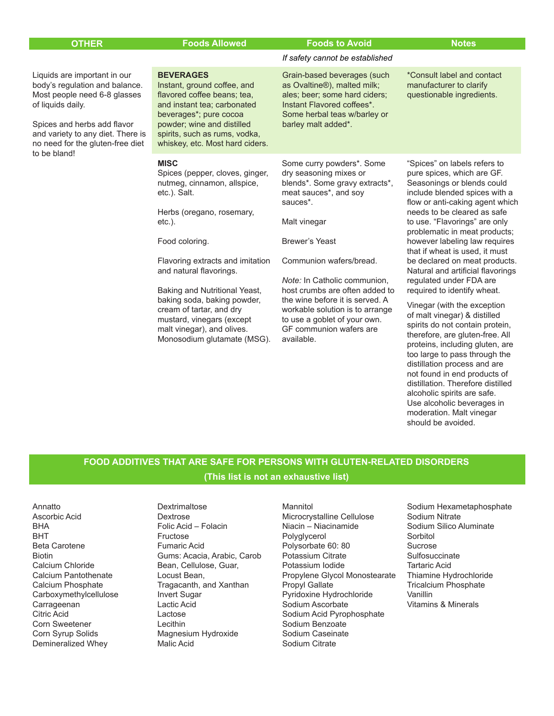| <b>OTHER</b>                                                                                                                                                                                                                                | <b>Foods Allowed</b>                                                                                                                                                                                                                      | <b>Foods to Avoid</b>                                                                                                                                                                         | <b>Notes</b>                                                                                                                                                                                                                                                   |
|---------------------------------------------------------------------------------------------------------------------------------------------------------------------------------------------------------------------------------------------|-------------------------------------------------------------------------------------------------------------------------------------------------------------------------------------------------------------------------------------------|-----------------------------------------------------------------------------------------------------------------------------------------------------------------------------------------------|----------------------------------------------------------------------------------------------------------------------------------------------------------------------------------------------------------------------------------------------------------------|
|                                                                                                                                                                                                                                             |                                                                                                                                                                                                                                           | If safety cannot be established                                                                                                                                                               |                                                                                                                                                                                                                                                                |
| Liquids are important in our<br>body's regulation and balance.<br>Most people need 6-8 glasses<br>of liquids daily.<br>Spices and herbs add flavor<br>and variety to any diet. There is<br>no need for the gluten-free diet<br>to be bland! | <b>BEVERAGES</b><br>Instant, ground coffee, and<br>flavored coffee beans; tea,<br>and instant tea; carbonated<br>beverages*; pure cocoa<br>powder; wine and distilled<br>spirits, such as rums, vodka,<br>whiskey, etc. Most hard ciders. | Grain-based beverages (such<br>as Ovaltine <sup>®</sup> ), malted milk;<br>ales; beer; some hard ciders;<br>Instant Flavored coffees*.<br>Some herbal teas w/barley or<br>barley malt added*. | *Consult label and contact<br>manufacturer to clarify<br>questionable ingredients.                                                                                                                                                                             |
|                                                                                                                                                                                                                                             | <b>MISC</b><br>Spices (pepper, cloves, ginger,<br>nutmeg, cinnamon, allspice,<br>etc.). Salt.<br>Herbs (oregano, rosemary,<br>$etc.$ ).                                                                                                   | Some curry powders*. Some<br>dry seasoning mixes or<br>blends*. Some gravy extracts*,<br>meat sauces*, and soy<br>sauces <sup>*</sup> .<br>Malt vinegar                                       | "Spices" on labels refers to<br>pure spices, which are GF.<br>Seasonings or blends could<br>include blended spices with a<br>flow or anti-caking agent which<br>needs to be cleared as safe<br>to use. "Flavorings" are only<br>problematic in meat products;  |
|                                                                                                                                                                                                                                             | Food coloring.<br>Flavoring extracts and imitation<br>and natural flavorings.<br>Baking and Nutritional Yeast,<br>baking soda, baking powder,<br>cream of tartar, and dry                                                                 | <b>Brewer's Yeast</b><br>Communion wafers/bread.<br>Note: In Catholic communion,<br>host crumbs are often added to<br>the wine before it is served. A<br>workable solution is to arrange      | however labeling law requires<br>that if wheat is used, it must<br>be declared on meat products.<br>Natural and artificial flavorings<br>regulated under FDA are<br>required to identify wheat.<br>Vinegar (with the exception<br>of malt vinegar) & distilled |
|                                                                                                                                                                                                                                             | mustard, vinegars (except<br>malt vinegar), and olives.<br>Monosodium glutamate (MSG).                                                                                                                                                    | to use a goblet of your own.<br>GF communion wafers are<br>available.                                                                                                                         | spirits do not contain protein,<br>therefore, are gluten-free. All<br>proteins, including gluten, are                                                                                                                                                          |

# **FOOD ADDITIVES THAT ARE SAFE FOR PERSONS WITH GLUTEN-RELATED DISORDERS (This list is not an exhaustive list)**

Annatto Ascorbic Acid BHA BHT Beta Carotene Biotin Calcium Chloride Calcium Pantothenate Calcium Phosphate Carboxymethylcellulose Carrageenan Citric Acid Corn Sweetener Corn Syrup Solids Demineralized Whey

Dextrimaltose Dextrose Folic Acid – Folacin Fructose Fumaric Acid Gums: Acacia, Arabic, Carob Bean, Cellulose, Guar, Locust Bean, Tragacanth, and Xanthan Invert Sugar Lactic Acid Lactose Lecithin Magnesium Hydroxide Malic Acid

Mannitol Microcrystalline Cellulose Niacin – Niacinamide Polyglycerol Polysorbate 60: 80 Potassium Citrate Potassium Iodide Propylene Glycol Monostearate Propyl Gallate Pyridoxine Hydrochloride Sodium Ascorbate Sodium Acid Pyrophosphate Sodium Benzoate Sodium Caseinate Sodium Citrate

Sodium Hexametaphosphate Sodium Nitrate Sodium Silico Aluminate **Sorbitol** Sucrose **Sulfosuccinate** Tartaric Acid Thiamine Hydrochloride Tricalcium Phosphate Vanillin Vitamins & Minerals

too large to pass through the distillation process and are not found in end products of distillation. Therefore distilled alcoholic spirits are safe. Use alcoholic beverages in moderation. Malt vinegar should be avoided.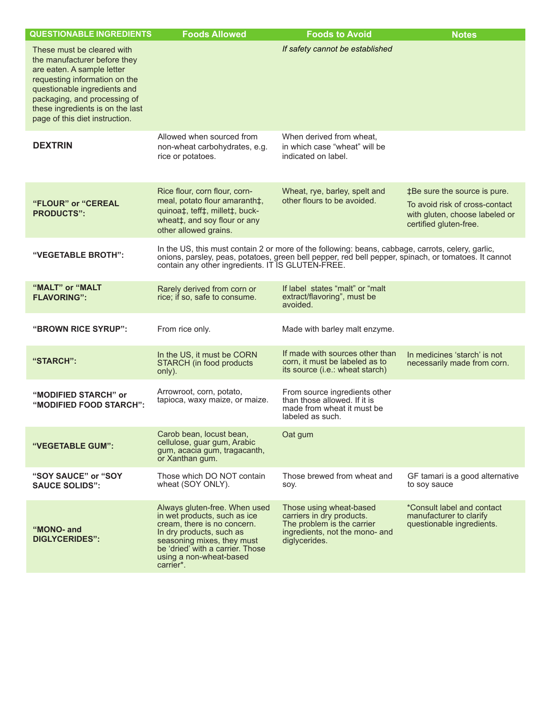| <b>QUESTIONABLE INGREDIENTS</b>                                                                                                                                                                                                                                 | <b>Foods Allowed</b>                                                                                                                                                                                                               | <b>Foods to Avoid</b>                                                                                                                                                                                     | <b>Notes</b>                                                                                                               |
|-----------------------------------------------------------------------------------------------------------------------------------------------------------------------------------------------------------------------------------------------------------------|------------------------------------------------------------------------------------------------------------------------------------------------------------------------------------------------------------------------------------|-----------------------------------------------------------------------------------------------------------------------------------------------------------------------------------------------------------|----------------------------------------------------------------------------------------------------------------------------|
| These must be cleared with<br>the manufacturer before they<br>are eaten. A sample letter<br>requesting information on the<br>questionable ingredients and<br>packaging, and processing of<br>these ingredients is on the last<br>page of this diet instruction. |                                                                                                                                                                                                                                    | If safety cannot be established                                                                                                                                                                           |                                                                                                                            |
| <b>DEXTRIN</b>                                                                                                                                                                                                                                                  | Allowed when sourced from<br>non-wheat carbohydrates, e.g.<br>rice or potatoes.                                                                                                                                                    | When derived from wheat.<br>in which case "wheat" will be<br>indicated on label.                                                                                                                          |                                                                                                                            |
| "FLOUR" or "CEREAL<br><b>PRODUCTS":</b>                                                                                                                                                                                                                         | Rice flour, corn flour, corn-<br>meal, potato flour amaranth‡,<br>quinoa‡, teff‡, millet‡, buck-<br>wheat‡, and soy flour or any<br>other allowed grains.                                                                          | Wheat, rye, barley, spelt and<br>other flours to be avoided.                                                                                                                                              | ‡Be sure the source is pure.<br>To avoid risk of cross-contact<br>with gluten, choose labeled or<br>certified gluten-free. |
| "VEGETABLE BROTH":                                                                                                                                                                                                                                              | contain any other ingredients. IT IS GLUTEN-FREE.                                                                                                                                                                                  | In the US, this must contain 2 or more of the following: beans, cabbage, carrots, celery, garlic,<br>onions, parsley, peas, potatoes, green bell pepper, red bell pepper, spinach, or tomatoes. It cannot |                                                                                                                            |
| "MALT" or "MALT<br><b>FLAVORING":</b>                                                                                                                                                                                                                           | Rarely derived from corn or<br>rice; if so, safe to consume.                                                                                                                                                                       | If label states "malt" or "malt<br>extract/flavoring", must be<br>avoided.                                                                                                                                |                                                                                                                            |
| "BROWN RICE SYRUP":                                                                                                                                                                                                                                             | From rice only.                                                                                                                                                                                                                    | Made with barley malt enzyme.                                                                                                                                                                             |                                                                                                                            |
| "STARCH":                                                                                                                                                                                                                                                       | In the US, it must be CORN<br>STARCH (in food products<br>only).                                                                                                                                                                   | If made with sources other than<br>corn, it must be labeled as to<br>its source (i.e.: wheat starch)                                                                                                      | In medicines 'starch' is not<br>necessarily made from corn.                                                                |
| "MODIFIED STARCH" or<br>"MODIFIED FOOD STARCH":                                                                                                                                                                                                                 | Arrowroot, corn, potato,<br>tapioca, waxy maize, or maize.                                                                                                                                                                         | From source ingredients other<br>than those allowed. If it is<br>made from wheat it must be<br>labeled as such.                                                                                           |                                                                                                                            |
| "VEGETABLE GUM":                                                                                                                                                                                                                                                | Carob bean, locust bean,<br>cellulose, guar gum, Arabic<br>gum, acacia gum, tragacanth,<br>or Xanthan gum.                                                                                                                         | Oat gum                                                                                                                                                                                                   |                                                                                                                            |
| "SOY SAUCE" or "SOY<br><b>SAUCE SOLIDS":</b>                                                                                                                                                                                                                    | Those which DO NOT contain<br>wheat (SOY ONLY).                                                                                                                                                                                    | Those brewed from wheat and<br>SOV.                                                                                                                                                                       | GF tamari is a good alternative<br>to soy sauce                                                                            |
| "MONO- and<br><b>DIGLYCERIDES":</b>                                                                                                                                                                                                                             | Always gluten-free. When used<br>in wet products, such as ice<br>cream, there is no concern.<br>In dry products, such as<br>seasoning mixes, they must<br>be 'dried' with a carrier. Those<br>using a non-wheat-based<br>carrier*. | Those using wheat-based<br>carriers in dry products.<br>The problem is the carrier<br>ingredients, not the mono- and<br>diglycerides.                                                                     | *Consult label and contact<br>manufacturer to clarify<br>questionable ingredients.                                         |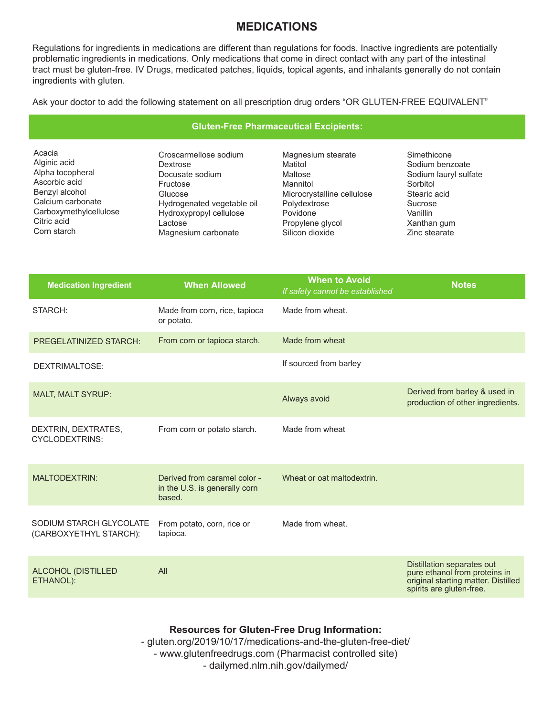# **MEDICATIONS**

Regulations for ingredients in medications are different than regulations for foods. Inactive ingredients are potentially problematic ingredients in medications. Only medications that come in direct contact with any part of the intestinal tract must be gluten-free. IV Drugs, medicated patches, liquids, topical agents, and inhalants generally do not contain ingredients with gluten.

Ask your doctor to add the following statement on all prescription drug orders "OR GLUTEN-FREE EQUIVALENT"

### **Gluten-Free Pharmaceutical Excipients:**

Acacia Alginic acid Alpha tocopheral Ascorbic acid Benzyl alcohol Calcium carbonate Carboxymethylcellulose Citric acid Corn starch

Croscarmellose sodium Dextrose Docusate sodium Fructose Glucose Hydrogenated vegetable oil Hydroxypropyl cellulose Lactose Magnesium carbonate

Magnesium stearate Matitol Maltose Mannitol Microcrystalline cellulose Polydextrose Povidone Propylene glycol Silicon dioxide

**Simethicone** Sodium benzoate Sodium lauryl sulfate Sorbitol Stearic acid Sucrose Vanillin Xanthan gum Zinc stearate

| <b>Medication Ingredient</b>                      | <b>When Allowed</b>                                                     | <b>When to Avoid</b><br>If safety cannot be established | <b>Notes</b>                                                                                                                   |
|---------------------------------------------------|-------------------------------------------------------------------------|---------------------------------------------------------|--------------------------------------------------------------------------------------------------------------------------------|
| STARCH:                                           | Made from corn, rice, tapioca<br>or potato.                             | Made from wheat.                                        |                                                                                                                                |
| <b>PREGELATINIZED STARCH:</b>                     | From corn or tapioca starch.                                            | Made from wheat                                         |                                                                                                                                |
| DEXTRIMALTOSE:                                    |                                                                         | If sourced from barley                                  |                                                                                                                                |
| <b>MALT, MALT SYRUP:</b>                          |                                                                         | Always avoid                                            | Derived from barley & used in<br>production of other ingredients.                                                              |
| DEXTRIN, DEXTRATES,<br><b>CYCLODEXTRINS:</b>      | From corn or potato starch.                                             | Made from wheat                                         |                                                                                                                                |
| <b>MALTODEXTRIN:</b>                              | Derived from caramel color -<br>in the U.S. is generally corn<br>based. | Wheat or oat maltodextrin.                              |                                                                                                                                |
| SODIUM STARCH GLYCOLATE<br>(CARBOXYETHYL STARCH): | From potato, corn, rice or<br>tapioca.                                  | Made from wheat.                                        |                                                                                                                                |
| <b>ALCOHOL (DISTILLED</b><br>ETHANOL):            | All                                                                     |                                                         | Distillation separates out<br>pure ethanol from proteins in<br>original starting matter. Distilled<br>spirits are gluten-free. |

# **Resources for Gluten-Free Drug Information:**

- gluten.org/2019/10/17/medications-and-the-gluten-free-diet/ - www.glutenfreedrugs.com (Pharmacist controlled site) - dailymed.nlm.nih.gov/dailymed/